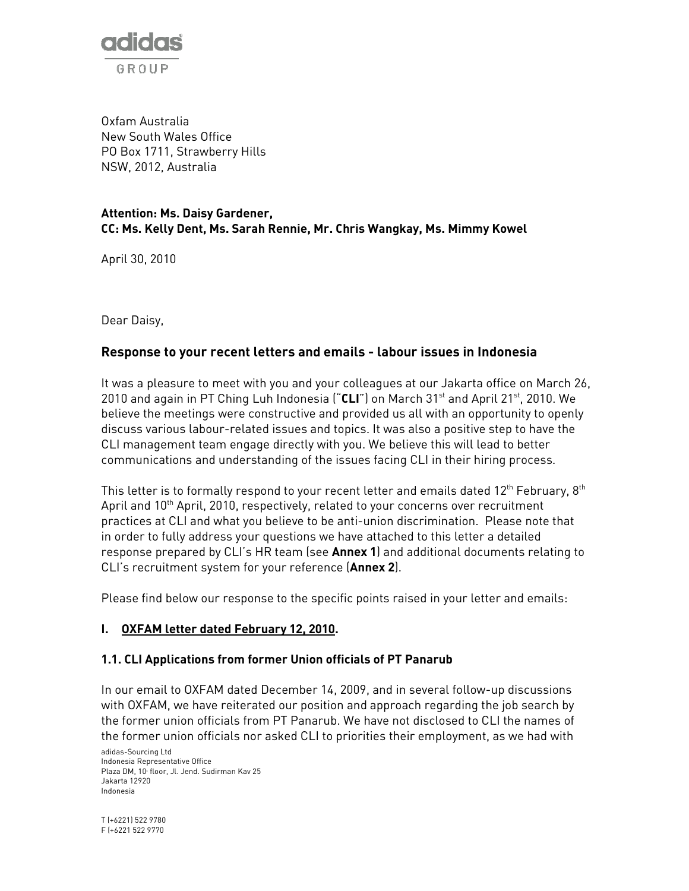

Oxfam Australia New South Wales Office PO Box 1711, Strawberry Hills NSW, 2012, Australia

#### Attention: Ms. Daisy Gardener, CC: Ms. Kelly Dent, Ms. Sarah Rennie, Mr. Chris Wangkay, Ms. Mimmy Kowel

April 30, 2010

Dear Daisy,

## Response to your recent letters and emails - labour issues in Indonesia

It was a pleasure to meet with you and your colleagues at our Jakarta office on March 26, 2010 and again in PT Ching Luh Indonesia  $("CLI")$  on March 31<sup>st</sup> and April 21<sup>st</sup>, 2010. We believe the meetings were constructive and provided us all with an opportunity to openly discuss various labour-related issues and topics. It was also a positive step to have the CLI management team engage directly with you. We believe this will lead to better communications and understanding of the issues facing CLI in their hiring process.

This letter is to formally respond to your recent letter and emails dated  $12<sup>th</sup>$  February,  $8<sup>th</sup>$ April and  $10^{th}$  April, 2010, respectively, related to your concerns over recruitment practices at CLI and what you believe to be anti-union discrimination. Please note that in order to fully address your questions we have attached to this letter a detailed response prepared by CLI's HR team (see Annex 1) and additional documents relating to CLI's recruitment system for your reference (Annex 2).

Please find below our response to the specific points raised in your letter and emails:

## I. OXFAM letter dated February 12, 2010.

#### 1.1. CLI Applications from former Union officials of PT Panarub

In our email to OXFAM dated December 14, 2009, and in several follow-up discussions with OXFAM, we have reiterated our position and approach regarding the job search by the former union officials from PT Panarub. We have not disclosed to CLI the names of the former union officials nor asked CLI to priorities their employment, as we had with

adidas-Sourcing Ltd Indonesia Representative Office Plaza DM, 10 floor, Jl. Jend. Sudirman Kav 25 Jakarta 12920 Indonesia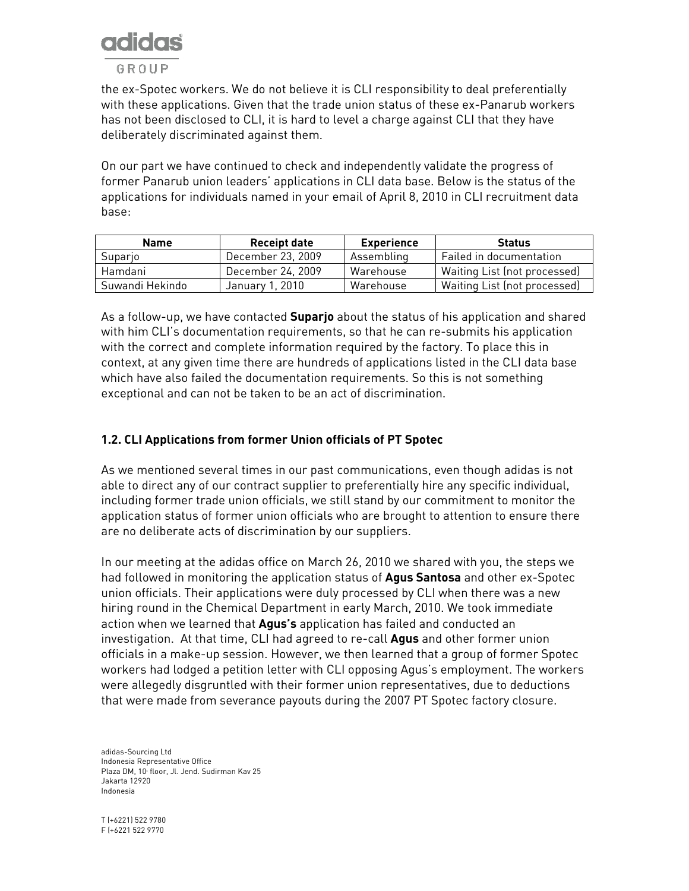

the ex-Spotec workers. We do not believe it is CLI responsibility to deal preferentially with these applications. Given that the trade union status of these ex-Panarub workers has not been disclosed to CLI, it is hard to level a charge against CLI that they have deliberately discriminated against them.

On our part we have continued to check and independently validate the progress of former Panarub union leaders' applications in CLI data base. Below is the status of the applications for individuals named in your email of April 8, 2010 in CLI recruitment data base:

| <b>Name</b>     | <b>Receipt date</b> | <b>Experience</b> | <b>Status</b>                |
|-----------------|---------------------|-------------------|------------------------------|
| Suparjo         | December 23, 2009   | Assembling        | Failed in documentation      |
| Hamdani         | December 24, 2009   | Warehouse         | Waiting List (not processed) |
| Suwandi Hekindo | January 1, 2010     | Warehouse         | Waiting List (not processed) |

As a follow-up, we have contacted **Suparjo** about the status of his application and shared with him CLI's documentation requirements, so that he can re-submits his application with the correct and complete information required by the factory. To place this in context, at any given time there are hundreds of applications listed in the CLI data base which have also failed the documentation requirements. So this is not something exceptional and can not be taken to be an act of discrimination.

## 1.2. CLI Applications from former Union officials of PT Spotec

As we mentioned several times in our past communications, even though adidas is not able to direct any of our contract supplier to preferentially hire any specific individual, including former trade union officials, we still stand by our commitment to monitor the application status of former union officials who are brought to attention to ensure there are no deliberate acts of discrimination by our suppliers.

In our meeting at the adidas office on March 26, 2010 we shared with you, the steps we had followed in monitoring the application status of **Agus Santosa** and other ex-Spotec union officials. Their applications were duly processed by CLI when there was a new hiring round in the Chemical Department in early March, 2010. We took immediate action when we learned that Agus's application has failed and conducted an investigation. At that time, CLI had agreed to re-call **Agus** and other former union officials in a make-up session. However, we then learned that a group of former Spotec workers had lodged a petition letter with CLI opposing Agus's employment. The workers were allegedly disgruntled with their former union representatives, due to deductions that were made from severance payouts during the 2007 PT Spotec factory closure.

adidas-Sourcing Ltd Indonesia Representative Office Plaza DM, 10 floor, Jl. Jend. Sudirman Kav 25 Jakarta 12920 Indonesia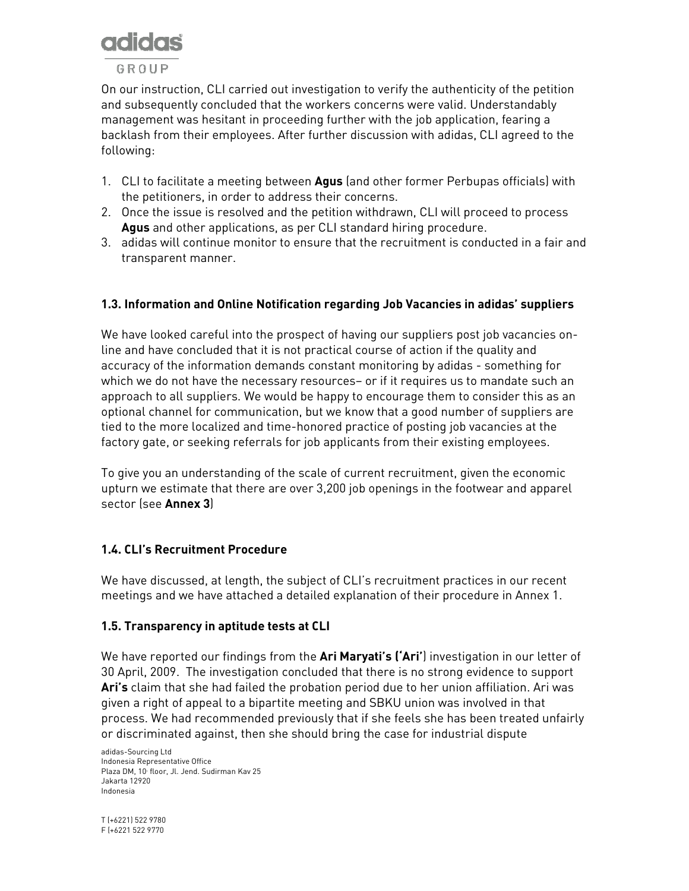# GROUP

On our instruction, CLI carried out investigation to verify the authenticity of the petition and subsequently concluded that the workers concerns were valid. Understandably management was hesitant in proceeding further with the job application, fearing a backlash from their employees. After further discussion with adidas, CLI agreed to the following:

- 1. CLI to facilitate a meeting between **Agus** (and other former Perbupas officials) with the petitioners, in order to address their concerns.
- 2. Once the issue is resolved and the petition withdrawn, CLI will proceed to process Agus and other applications, as per CLI standard hiring procedure.
- 3. adidas will continue monitor to ensure that the recruitment is conducted in a fair and transparent manner.

## 1.3. Information and Online Notification regarding Job Vacancies in adidas' suppliers

We have looked careful into the prospect of having our suppliers post job vacancies online and have concluded that it is not practical course of action if the quality and accuracy of the information demands constant monitoring by adidas - something for which we do not have the necessary resources– or if it requires us to mandate such an approach to all suppliers. We would be happy to encourage them to consider this as an optional channel for communication, but we know that a good number of suppliers are tied to the more localized and time-honored practice of posting job vacancies at the factory gate, or seeking referrals for job applicants from their existing employees.

To give you an understanding of the scale of current recruitment, given the economic upturn we estimate that there are over 3,200 job openings in the footwear and apparel sector (see **Annex 3)** 

## 1.4. CLI's Recruitment Procedure

We have discussed, at length, the subject of CLI's recruitment practices in our recent meetings and we have attached a detailed explanation of their procedure in Annex 1.

## 1.5. Transparency in aptitude tests at CLI

We have reported our findings from the **Ari Maryati's ('Ari'**) investigation in our letter of 30 April, 2009. The investigation concluded that there is no strong evidence to support Ari's claim that she had failed the probation period due to her union affiliation. Ari was given a right of appeal to a bipartite meeting and SBKU union was involved in that process. We had recommended previously that if she feels she has been treated unfairly or discriminated against, then she should bring the case for industrial dispute

adidas-Sourcing Ltd Indonesia Representative Office Plaza DM, 10 floor, Jl. Jend. Sudirman Kav 25 Jakarta 12920 Indonesia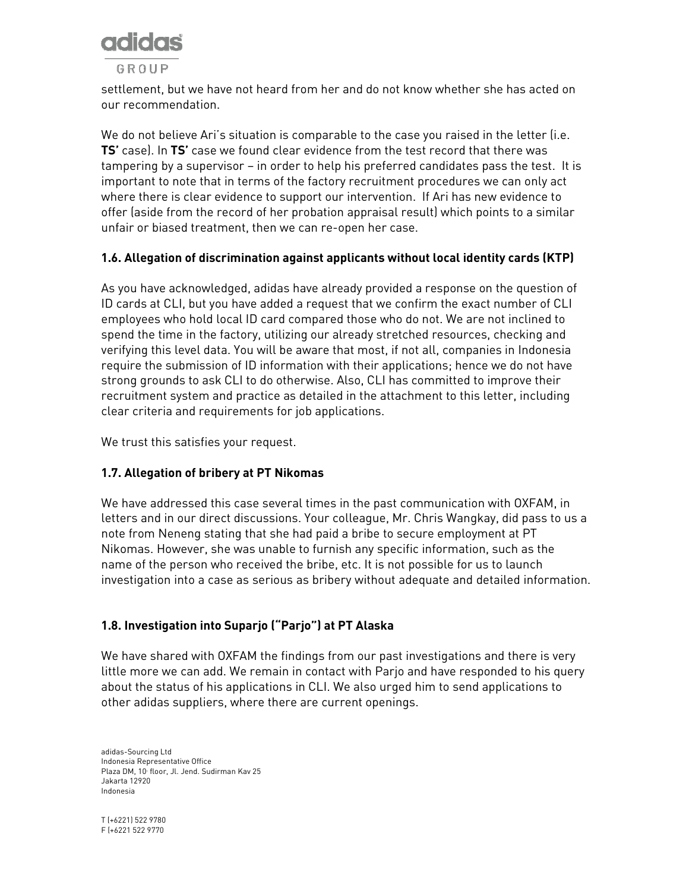

settlement, but we have not heard from her and do not know whether she has acted on our recommendation.

We do not believe Ari's situation is comparable to the case you raised in the letter (i.e. TS' case). In TS' case we found clear evidence from the test record that there was tampering by a supervisor – in order to help his preferred candidates pass the test. It is important to note that in terms of the factory recruitment procedures we can only act where there is clear evidence to support our intervention. If Ari has new evidence to offer (aside from the record of her probation appraisal result) which points to a similar unfair or biased treatment, then we can re-open her case.

#### 1.6. Allegation of discrimination against applicants without local identity cards (KTP)

As you have acknowledged, adidas have already provided a response on the question of ID cards at CLI, but you have added a request that we confirm the exact number of CLI employees who hold local ID card compared those who do not. We are not inclined to spend the time in the factory, utilizing our already stretched resources, checking and verifying this level data. You will be aware that most, if not all, companies in Indonesia require the submission of ID information with their applications; hence we do not have strong grounds to ask CLI to do otherwise. Also, CLI has committed to improve their recruitment system and practice as detailed in the attachment to this letter, including clear criteria and requirements for job applications.

We trust this satisfies your request.

## 1.7. Allegation of bribery at PT Nikomas

We have addressed this case several times in the past communication with OXFAM, in letters and in our direct discussions. Your colleague, Mr. Chris Wangkay, did pass to us a note from Neneng stating that she had paid a bribe to secure employment at PT Nikomas. However, she was unable to furnish any specific information, such as the name of the person who received the bribe, etc. It is not possible for us to launch investigation into a case as serious as bribery without adequate and detailed information.

## 1.8. Investigation into Suparjo ("Parjo") at PT Alaska

We have shared with OXFAM the findings from our past investigations and there is very little more we can add. We remain in contact with Parjo and have responded to his query about the status of his applications in CLI. We also urged him to send applications to other adidas suppliers, where there are current openings.

adidas-Sourcing Ltd Indonesia Representative Office Plaza DM, 10 floor, Jl. Jend. Sudirman Kav 25 Jakarta 12920 Indonesia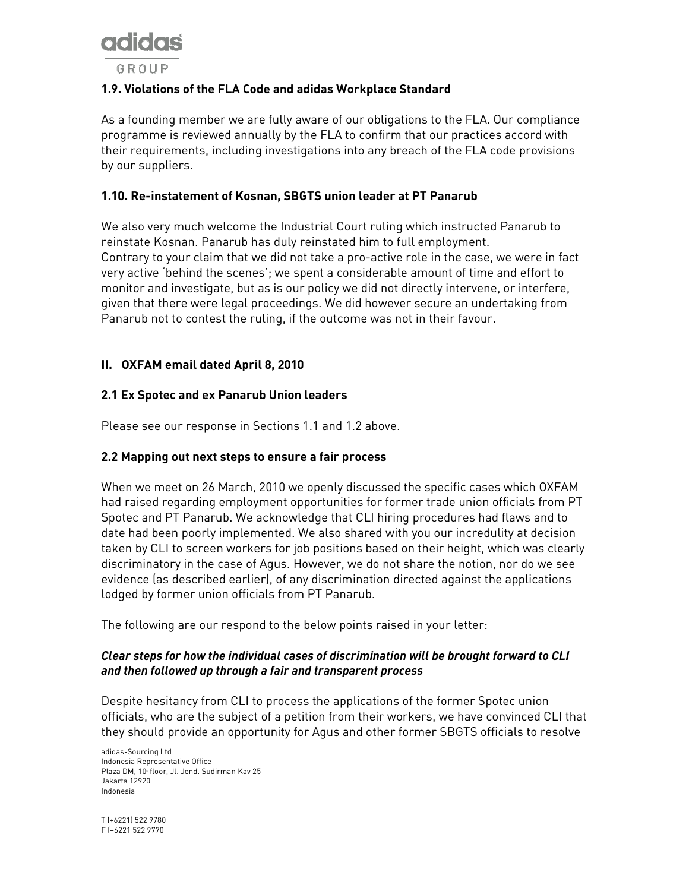

## 1.9. Violations of the FLA Code and adidas Workplace Standard

As a founding member we are fully aware of our obligations to the FLA. Our compliance programme is reviewed annually by the FLA to confirm that our practices accord with their requirements, including investigations into any breach of the FLA code provisions by our suppliers.

#### 1.10. Re-instatement of Kosnan, SBGTS union leader at PT Panarub

We also very much welcome the Industrial Court ruling which instructed Panarub to reinstate Kosnan. Panarub has duly reinstated him to full employment. Contrary to your claim that we did not take a pro-active role in the case, we were in fact very active 'behind the scenes'; we spent a considerable amount of time and effort to monitor and investigate, but as is our policy we did not directly intervene, or interfere, given that there were legal proceedings. We did however secure an undertaking from Panarub not to contest the ruling, if the outcome was not in their favour.

#### II. OXFAM email dated April 8, 2010

#### 2.1 Ex Spotec and ex Panarub Union leaders

Please see our response in Sections 1.1 and 1.2 above.

#### 2.2 Mapping out next steps to ensure a fair process

When we meet on 26 March, 2010 we openly discussed the specific cases which OXFAM had raised regarding employment opportunities for former trade union officials from PT Spotec and PT Panarub. We acknowledge that CLI hiring procedures had flaws and to date had been poorly implemented. We also shared with you our incredulity at decision taken by CLI to screen workers for job positions based on their height, which was clearly discriminatory in the case of Agus. However, we do not share the notion, nor do we see evidence (as described earlier), of any discrimination directed against the applications lodged by former union officials from PT Panarub.

The following are our respond to the below points raised in your letter:

#### Clear steps for how the individual cases of discrimination will be brought forward to CLI and then followed up through a fair and transparent process

Despite hesitancy from CLI to process the applications of the former Spotec union officials, who are the subject of a petition from their workers, we have convinced CLI that they should provide an opportunity for Agus and other former SBGTS officials to resolve

adidas-Sourcing Ltd Indonesia Representative Office Plaza DM, 10 floor, Jl. Jend. Sudirman Kav 25 Jakarta 12920 Indonesia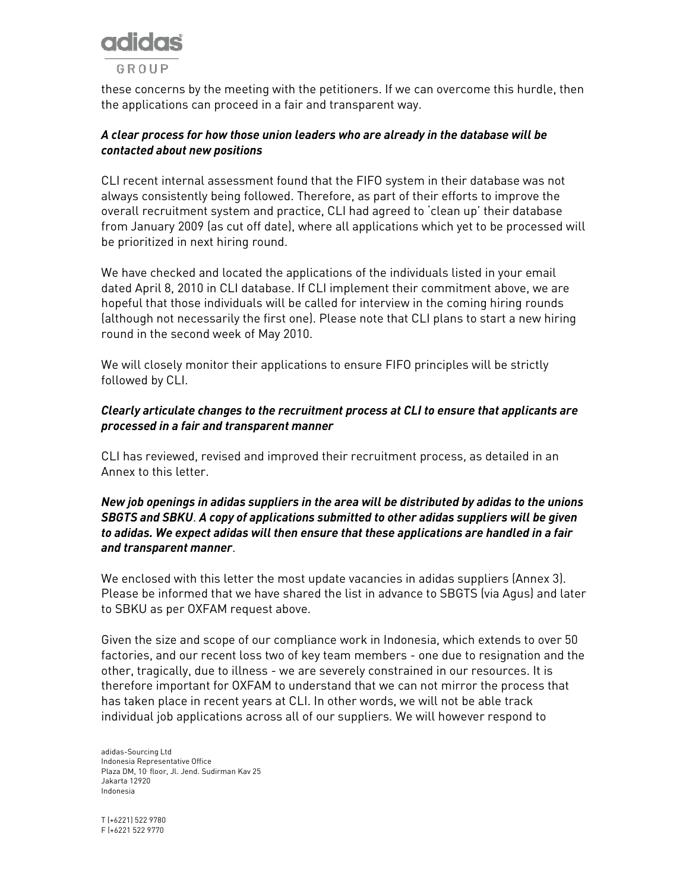

these concerns by the meeting with the petitioners. If we can overcome this hurdle, then the applications can proceed in a fair and transparent way.

#### A clear process for how those union leaders who are already in the database will be contacted about new positions

CLI recent internal assessment found that the FIFO system in their database was not always consistently being followed. Therefore, as part of their efforts to improve the overall recruitment system and practice, CLI had agreed to 'clean up' their database from January 2009 (as cut off date), where all applications which yet to be processed will be prioritized in next hiring round.

We have checked and located the applications of the individuals listed in your email dated April 8, 2010 in CLI database. If CLI implement their commitment above, we are hopeful that those individuals will be called for interview in the coming hiring rounds (although not necessarily the first one). Please note that CLI plans to start a new hiring round in the second week of May 2010.

We will closely monitor their applications to ensure FIFO principles will be strictly followed by CLI.

#### Clearly articulate changes to the recruitment process at CLI to ensure that applicants are processed in a fair and transparent manner

CLI has reviewed, revised and improved their recruitment process, as detailed in an Annex to this letter.

#### New job openings in adidas suppliers in the area will be distributed by adidas to the unions SBGTS and SBKU. A copy of applications submitted to other adidas suppliers will be given to adidas. We expect adidas will then ensure that these applications are handled in a fair and transparent manner.

We enclosed with this letter the most update vacancies in adidas suppliers (Annex 3). Please be informed that we have shared the list in advance to SBGTS (via Agus) and later to SBKU as per OXFAM request above.

Given the size and scope of our compliance work in Indonesia, which extends to over 50 factories, and our recent loss two of key team members - one due to resignation and the other, tragically, due to illness - we are severely constrained in our resources. It is therefore important for OXFAM to understand that we can not mirror the process that has taken place in recent years at CLI. In other words, we will not be able track individual job applications across all of our suppliers. We will however respond to

adidas-Sourcing Ltd Indonesia Representative Office Plaza DM, 10 floor, Jl. Jend. Sudirman Kav 25 Jakarta 12920 Indonesia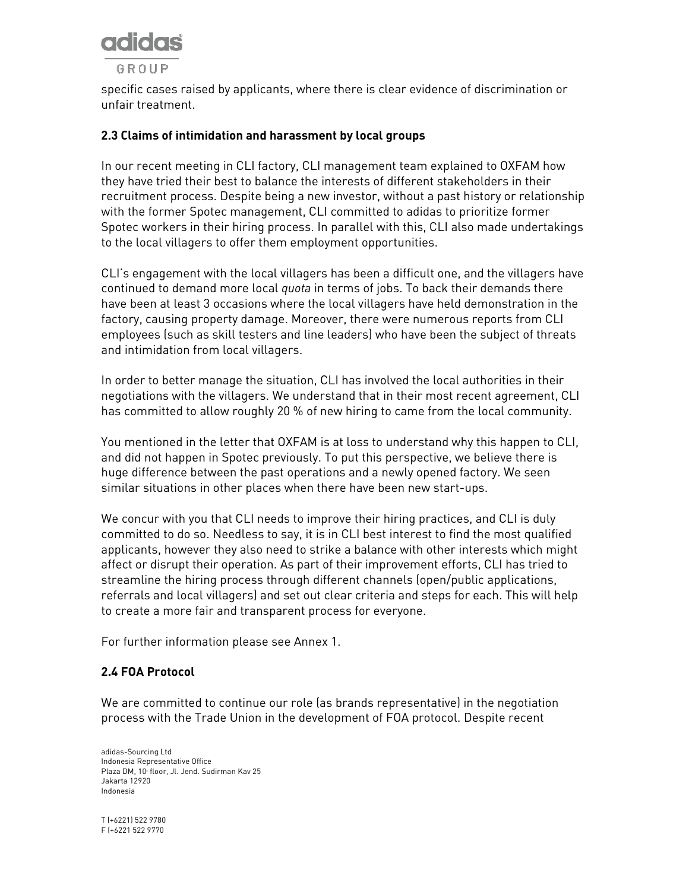

specific cases raised by applicants, where there is clear evidence of discrimination or unfair treatment.

#### 2.3 Claims of intimidation and harassment by local groups

In our recent meeting in CLI factory, CLI management team explained to OXFAM how they have tried their best to balance the interests of different stakeholders in their recruitment process. Despite being a new investor, without a past history or relationship with the former Spotec management, CLI committed to adidas to prioritize former Spotec workers in their hiring process. In parallel with this, CLI also made undertakings to the local villagers to offer them employment opportunities.

CLI's engagement with the local villagers has been a difficult one, and the villagers have continued to demand more local *quota* in terms of jobs. To back their demands there have been at least 3 occasions where the local villagers have held demonstration in the factory, causing property damage. Moreover, there were numerous reports from CLI employees (such as skill testers and line leaders) who have been the subject of threats and intimidation from local villagers.

In order to better manage the situation, CLI has involved the local authorities in their negotiations with the villagers. We understand that in their most recent agreement, CLI has committed to allow roughly 20 % of new hiring to came from the local community.

You mentioned in the letter that OXFAM is at loss to understand why this happen to CLI, and did not happen in Spotec previously. To put this perspective, we believe there is huge difference between the past operations and a newly opened factory. We seen similar situations in other places when there have been new start-ups.

We concur with you that CLI needs to improve their hiring practices, and CLI is duly committed to do so. Needless to say, it is in CLI best interest to find the most qualified applicants, however they also need to strike a balance with other interests which might affect or disrupt their operation. As part of their improvement efforts, CLI has tried to streamline the hiring process through different channels (open/public applications, referrals and local villagers) and set out clear criteria and steps for each. This will help to create a more fair and transparent process for everyone.

For further information please see Annex 1.

#### 2.4 FOA Protocol

We are committed to continue our role (as brands representative) in the negotiation process with the Trade Union in the development of FOA protocol. Despite recent

adidas-Sourcing Ltd Indonesia Representative Office Plaza DM, 10 floor, Jl. Jend. Sudirman Kav 25 Jakarta 12920 Indonesia